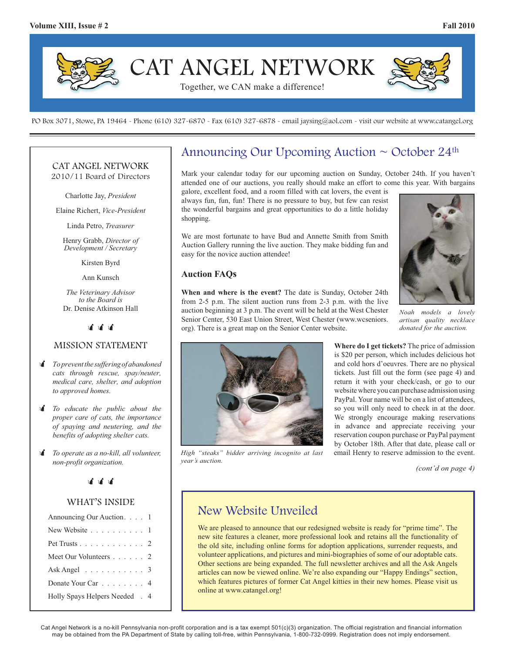

PO Box 3071, Stowe, PA 19464 - Phone (610) 327-6870 - Fax (610) 327-6878 - email jaysing@aol.com - visit our website at www.catangel.org

### CAT ANGEL NETWORK 2010/11 Board of Directors

Charlotte Jay, *President*

Elaine Richert, *Vice-President*

Linda Petro, *Treasurer*

Henry Grabb, *Director of Development / Secretary*

Kirsten Byrd

Ann Kunsch

*The Veterinary Advisor to the Board is*  Dr. Denise Atkinson Hall

<u>चं चं चं</u>

### MISSION STATEMENT

- - *To prevent the suffering of abandoned cats through rescue, spay/neuter, medical care, shelter, and adoption to approved homes.*
- *I To educate the public about the proper care of cats, the importance of spaying and neutering, and the benefits of adopting shelter cats.*
- - *To operate as a no-kill, all volunteer, non-profit organization.*

### <u>चं चं चं</u>

### WHAT'S INSIDE

| Announcing Our Auction. 1                 |  |
|-------------------------------------------|--|
| New Website 1                             |  |
| Pet Trusts 2                              |  |
| Meet Our Volunteers 2                     |  |
| Ask Angel $\ldots \ldots \ldots \ldots 3$ |  |
| Donate Your Car 4                         |  |
| Holly Spays Helpers Needed . 4            |  |

# Announcing Our Upcoming Auction  $\sim$  October 24<sup>th</sup>

Mark your calendar today for our upcoming auction on Sunday, October 24th. If you haven't attended one of our auctions, you really should make an effort to come this year. With bargains

galore, excellent food, and a room filled with cat lovers, the event is always fun, fun, fun! There is no pressure to buy, but few can resist the wonderful bargains and great opportunities to do a little holiday shopping.

We are most fortunate to have Bud and Annette Smith from Smith Auction Gallery running the live auction. They make bidding fun and easy for the novice auction attendee!

#### **Auction FAQs**

**When and where is the event?** The date is Sunday, October 24th from 2-5 p.m. The silent auction runs from 2-3 p.m. with the live auction beginning at 3 p.m. The event will be held at the West Chester Senior Center, 530 East Union Street, West Chester (www.wcseniors. org). There is a great map on the Senior Center website.



*Noah models a lovely artisan quality necklace donated for the auction.*



*High "steaks" bidder arriving incognito at last year's auction.*

**Where do I get tickets?** The price of admission is \$20 per person, which includes delicious hot and cold hors d'oeuvres. There are no physical tickets. Just fill out the form (see page 4) and return it with your check/cash, or go to our website where you can purchase admission using PayPal. Your name will be on a list of attendees, so you will only need to check in at the door. We strongly encourage making reservations in advance and appreciate receiving your reservation coupon purchase or PayPal payment by October 18th. After that date, please call or email Henry to reserve admission to the event.

*(cont'd on page 4)*

# New Website Unveiled

We are pleased to announce that our redesigned website is ready for "prime time". The new site features a cleaner, more professional look and retains all the functionality of the old site, including online forms for adoption applications, surrender requests, and volunteer applications, and pictures and mini-biographies of some of our adoptable cats. Other sections are being expanded. The full newsletter archives and all the Ask Angels articles can now be viewed online. We're also expanding our "Happy Endings" section, which features pictures of former Cat Angel kitties in their new homes. Please visit us online at www.catangel.org!

Cat Angel Network is a no-kill Pennsylvania non-profit corporation and is a tax exempt 501(c)(3) organization. The official registration and financial information may be obtained from the PA Department of State by calling toll-free, within Pennsylvania, 1-800-732-0999. Registration does not imply endorsement.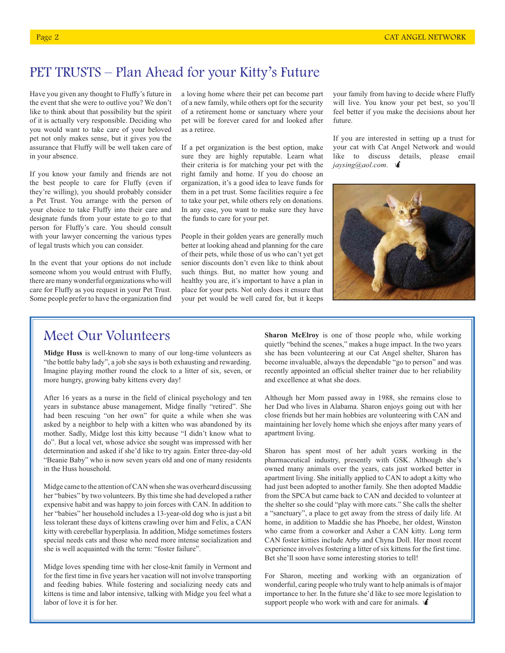# PET TRUSTS – Plan Ahead for your Kitty's Future

Have you given any thought to Fluffy's future in the event that she were to outlive you? We don't like to think about that possibility but the spirit of it is actually very responsible. Deciding who you would want to take care of your beloved pet not only makes sense, but it gives you the assurance that Fluffy will be well taken care of in your absence.

If you know your family and friends are not the best people to care for Fluffy (even if they're willing), you should probably consider a Pet Trust. You arrange with the person of your choice to take Fluffy into their care and designate funds from your estate to go to that person for Fluffy's care. You should consult with your lawyer concerning the various types of legal trusts which you can consider.

In the event that your options do not include someone whom you would entrust with Fluffy, there are many wonderful organizations who will care for Fluffy as you request in your Pet Trust. Some people prefer to have the organization find

a loving home where their pet can become part of a new family, while others opt for the security of a retirement home or sanctuary where your pet will be forever cared for and looked after as a retiree.

If a pet organization is the best option, make sure they are highly reputable. Learn what their criteria is for matching your pet with the right family and home. If you do choose an organization, it's a good idea to leave funds for them in a pet trust. Some facilities require a fee to take your pet, while others rely on donations. In any case, you want to make sure they have the funds to care for your pet.

People in their golden years are generally much better at looking ahead and planning for the care of their pets, while those of us who can't yet get senior discounts don't even like to think about such things. But, no matter how young and healthy you are, it's important to have a plan in place for your pets. Not only does it ensure that your pet would be well cared for, but it keeps your family from having to decide where Fluffy will live. You know your pet best, so you'll feel better if you make the decisions about her future.

If you are interested in setting up a trust for your cat with Cat Angel Network and would like to discuss details, please email  $j$ *aysing@aol.com.*  $\mathbf{\hat{A}}$ 



# Meet Our Volunteers

**Midge Huss** is well-known to many of our long-time volunteers as "the bottle baby lady", a job she says is both exhausting and rewarding. Imagine playing mother round the clock to a litter of six, seven, or more hungry, growing baby kittens every day!

After 16 years as a nurse in the field of clinical psychology and ten years in substance abuse management, Midge finally "retired". She had been rescuing "on her own" for quite a while when she was asked by a neighbor to help with a kitten who was abandoned by its mother. Sadly, Midge lost this kitty because "I didn't know what to do". But a local vet, whose advice she sought was impressed with her determination and asked if she'd like to try again. Enter three-day-old "Beanie Baby" who is now seven years old and one of many residents in the Huss household.

Midge came to the attention of CAN when she was overheard discussing her "babies" by two volunteers. By this time she had developed a rather expensive habit and was happy to join forces with CAN. In addition to her "babies" her household includes a 13-year-old dog who is just a bit less tolerant these days of kittens crawling over him and Felix, a CAN kitty with cerebellar hyperplasia. In addition, Midge sometimes fosters special needs cats and those who need more intense socialization and she is well acquainted with the term: "foster failure".

Midge loves spending time with her close-knit family in Vermont and for the first time in five years her vacation will not involve transporting and feeding babies. While fostering and socializing needy cats and kittens is time and labor intensive, talking with Midge you feel what a labor of love it is for her.

**Sharon McElroy** is one of those people who, while working quietly "behind the scenes," makes a huge impact. In the two years she has been volunteering at our Cat Angel shelter, Sharon has become invaluable, always the dependable "go to person" and was recently appointed an official shelter trainer due to her reliability and excellence at what she does.

Although her Mom passed away in 1988, she remains close to her Dad who lives in Alabama. Sharon enjoys going out with her close friends but her main hobbies are volunteering with CAN and maintaining her lovely home which she enjoys after many years of apartment living.

Sharon has spent most of her adult years working in the pharmaceutical industry, presently with GSK. Although she's owned many animals over the years, cats just worked better in apartment living. She initially applied to CAN to adopt a kitty who had just been adopted to another family. She then adopted Maddie from the SPCA but came back to CAN and decided to volunteer at the shelter so she could "play with more cats." She calls the shelter a "sanctuary", a place to get away from the stress of daily life. At home, in addition to Maddie she has Phoebe, her oldest, Winston who came from a coworker and Asher a CAN kitty. Long term CAN foster kitties include Arby and Chyna Doll. Her most recent experience involves fostering a litter of six kittens for the first time. Bet she'll soon have some interesting stories to tell!

For Sharon, meeting and working with an organization of wonderful, caring people who truly want to help animals is of major importance to her. In the future she'd like to see more legislation to support people who work with and care for animals.  $\triangleleft$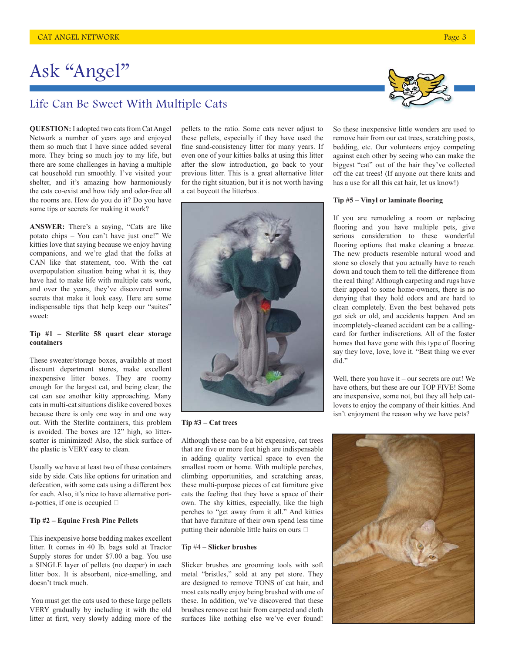# Ask "Angel"

### Life Can Be Sweet With Multiple Cats

**QUESTION:** I adopted two cats from Cat Angel Network a number of years ago and enjoyed them so much that I have since added several more. They bring so much joy to my life, but there are some challenges in having a multiple cat household run smoothly. I've visited your shelter, and it's amazing how harmoniously the cats co-exist and how tidy and odor-free all the rooms are. How do you do it? Do you have some tips or secrets for making it work?

**ANSWER:** There's a saying, "Cats are like potato chips – You can't have just one!" We kitties love that saying because we enjoy having companions, and we're glad that the folks at CAN like that statement, too. With the cat overpopulation situation being what it is, they have had to make life with multiple cats work, and over the years, they've discovered some secrets that make it look easy. Here are some indispensable tips that help keep our "suites" sweet:

#### **Tip #1 – Sterlite 58 quart clear storage containers**

These sweater/storage boxes, available at most discount department stores, make excellent inexpensive litter boxes. They are roomy enough for the largest cat, and being clear, the cat can see another kitty approaching. Many cats in multi-cat situations dislike covered boxes because there is only one way in and one way out. With the Sterlite containers, this problem is avoided. The boxes are 12" high, so litterscatter is minimized! Also, the slick surface of the plastic is VERY easy to clean.

Usually we have at least two of these containers side by side. Cats like options for urination and defecation, with some cats using a different box for each. Also, it's nice to have alternative porta-potties, if one is occupied

#### **Tip #2 – Equine Fresh Pine Pellets**

This inexpensive horse bedding makes excellent litter. It comes in 40 lb. bags sold at Tractor Supply stores for under \$7.00 a bag. You use a SINGLE layer of pellets (no deeper) in each litter box. It is absorbent, nice-smelling, and doesn't track much.

 You must get the cats used to these large pellets VERY gradually by including it with the old litter at first, very slowly adding more of the

pellets to the ratio. Some cats never adjust to these pellets, especially if they have used the fine sand-consistency litter for many years. If even one of your kitties balks at using this litter after the slow introduction, go back to your previous litter. This is a great alternative litter for the right situation, but it is not worth having a cat boycott the litterbox.



**Tip #3 – Cat trees**

Although these can be a bit expensive, cat trees that are five or more feet high are indispensable in adding quality vertical space to even the smallest room or home. With multiple perches, climbing opportunities, and scratching areas, these multi-purpose pieces of cat furniture give cats the feeling that they have a space of their own. The shy kitties, especially, like the high perches to "get away from it all." And kitties that have furniture of their own spend less time putting their adorable little hairs on ours

#### Tip #4 **– Slicker brushes**

Slicker brushes are grooming tools with soft metal "bristles," sold at any pet store. They are designed to remove TONS of cat hair, and most cats really enjoy being brushed with one of these. In addition, we've discovered that these brushes remove cat hair from carpeted and cloth surfaces like nothing else we've ever found!



#### **Tip #5 – Vinyl or laminate flooring**

If you are remodeling a room or replacing flooring and you have multiple pets, give serious consideration to these wonderful flooring options that make cleaning a breeze. The new products resemble natural wood and stone so closely that you actually have to reach down and touch them to tell the difference from the real thing! Although carpeting and rugs have their appeal to some home-owners, there is no denying that they hold odors and are hard to clean completely. Even the best behaved pets get sick or old, and accidents happen. And an incompletely-cleaned accident can be a callingcard for further indiscretions. All of the foster homes that have gone with this type of flooring say they love, love, love it. "Best thing we ever did."

Well, there you have it – our secrets are out! We have others, but these are our TOP FIVE! Some are inexpensive, some not, but they all help catlovers to enjoy the company of their kitties. And isn't enjoyment the reason why we have pets?